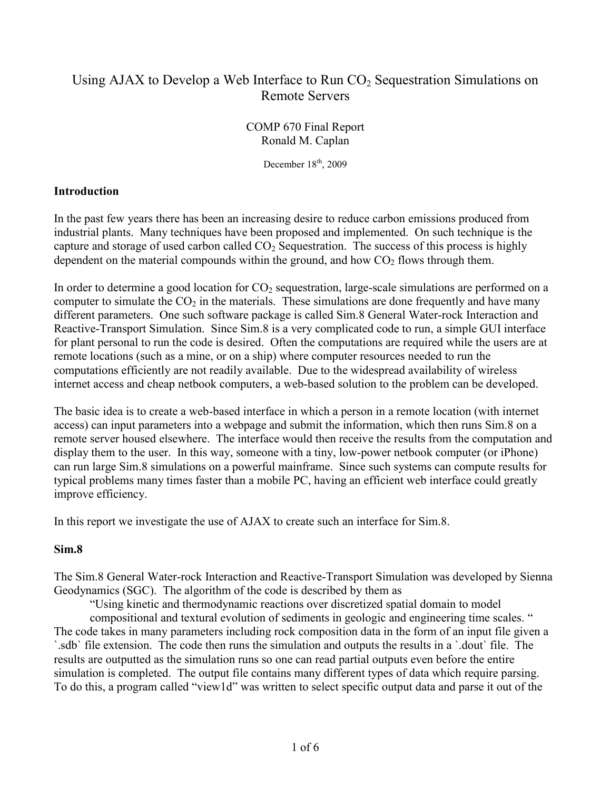# Using AJAX to Develop a Web Interface to Run  $CO<sub>2</sub>$  Sequestration Simulations on Remote Servers

COMP 670 Final Report Ronald M. Caplan

December  $18<sup>th</sup>$ , 2009

### **Introduction**

In the past few years there has been an increasing desire to reduce carbon emissions produced from industrial plants. Many techniques have been proposed and implemented. On such technique is the capture and storage of used carbon called  $CO<sub>2</sub>$  Sequestration. The success of this process is highly dependent on the material compounds within the ground, and how  $CO<sub>2</sub>$  flows through them.

In order to determine a good location for  $CO<sub>2</sub>$  sequestration, large-scale simulations are performed on a computer to simulate the  $CO<sub>2</sub>$  in the materials. These simulations are done frequently and have many different parameters. One such software package is called Sim.8 General Water-rock Interaction and Reactive-Transport Simulation. Since Sim.8 is a very complicated code to run, a simple GUI interface for plant personal to run the code is desired. Often the computations are required while the users are at remote locations (such as a mine, or on a ship) where computer resources needed to run the computations efficiently are not readily available. Due to the widespread availability of wireless internet access and cheap netbook computers, a web-based solution to the problem can be developed.

The basic idea is to create a web-based interface in which a person in a remote location (with internet access) can input parameters into a webpage and submit the information, which then runs Sim.8 on a remote server housed elsewhere. The interface would then receive the results from the computation and display them to the user. In this way, someone with a tiny, low-power netbook computer (or iPhone) can run large Sim.8 simulations on a powerful mainframe. Since such systems can compute results for typical problems many times faster than a mobile PC, having an efficient web interface could greatly improve efficiency.

In this report we investigate the use of AJAX to create such an interface for Sim.8.

## **Sim.8**

The Sim.8 General Water-rock Interaction and Reactive-Transport Simulation was developed by Sienna Geodynamics (SGC). The algorithm of the code is described by them as

"Using kinetic and thermodynamic reactions over discretized spatial domain to model compositional and textural evolution of sediments in geologic and engineering time scales. " The code takes in many parameters including rock composition data in the form of an input file given a `.sdb` file extension. The code then runs the simulation and outputs the results in a `.dout` file. The results are outputted as the simulation runs so one can read partial outputs even before the entire simulation is completed. The output file contains many different types of data which require parsing. To do this, a program called "view1d" was written to select specific output data and parse it out of the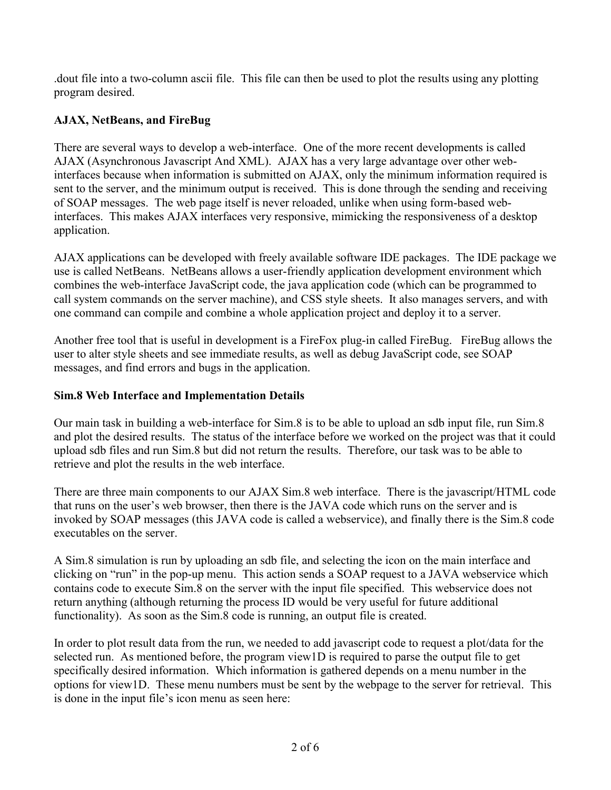.dout file into a two-column ascii file. This file can then be used to plot the results using any plotting program desired.

## **AJAX, NetBeans, and FireBug**

There are several ways to develop a web-interface. One of the more recent developments is called AJAX (Asynchronous Javascript And XML). AJAX has a very large advantage over other webinterfaces because when information is submitted on AJAX, only the minimum information required is sent to the server, and the minimum output is received. This is done through the sending and receiving of SOAP messages. The web page itself is never reloaded, unlike when using form-based webinterfaces. This makes AJAX interfaces very responsive, mimicking the responsiveness of a desktop application.

AJAX applications can be developed with freely available software IDE packages. The IDE package we use is called NetBeans. NetBeans allows a user-friendly application development environment which combines the web-interface JavaScript code, the java application code (which can be programmed to call system commands on the server machine), and CSS style sheets. It also manages servers, and with one command can compile and combine a whole application project and deploy it to a server.

Another free tool that is useful in development is a FireFox plug-in called FireBug. FireBug allows the user to alter style sheets and see immediate results, as well as debug JavaScript code, see SOAP messages, and find errors and bugs in the application.

## **Sim.8 Web Interface and Implementation Details**

Our main task in building a web-interface for Sim.8 is to be able to upload an sdb input file, run Sim.8 and plot the desired results. The status of the interface before we worked on the project was that it could upload sdb files and run Sim.8 but did not return the results. Therefore, our task was to be able to retrieve and plot the results in the web interface.

There are three main components to our AJAX Sim.8 web interface. There is the javascript/HTML code that runs on the user's web browser, then there is the JAVA code which runs on the server and is invoked by SOAP messages (this JAVA code is called a webservice), and finally there is the Sim.8 code executables on the server.

A Sim.8 simulation is run by uploading an sdb file, and selecting the icon on the main interface and clicking on "run" in the pop-up menu. This action sends a SOAP request to a JAVA webservice which contains code to execute Sim.8 on the server with the input file specified. This webservice does not return anything (although returning the process ID would be very useful for future additional functionality). As soon as the Sim.8 code is running, an output file is created.

In order to plot result data from the run, we needed to add javascript code to request a plot/data for the selected run. As mentioned before, the program view1D is required to parse the output file to get specifically desired information. Which information is gathered depends on a menu number in the options for view1D. These menu numbers must be sent by the webpage to the server for retrieval. This is done in the input file's icon menu as seen here: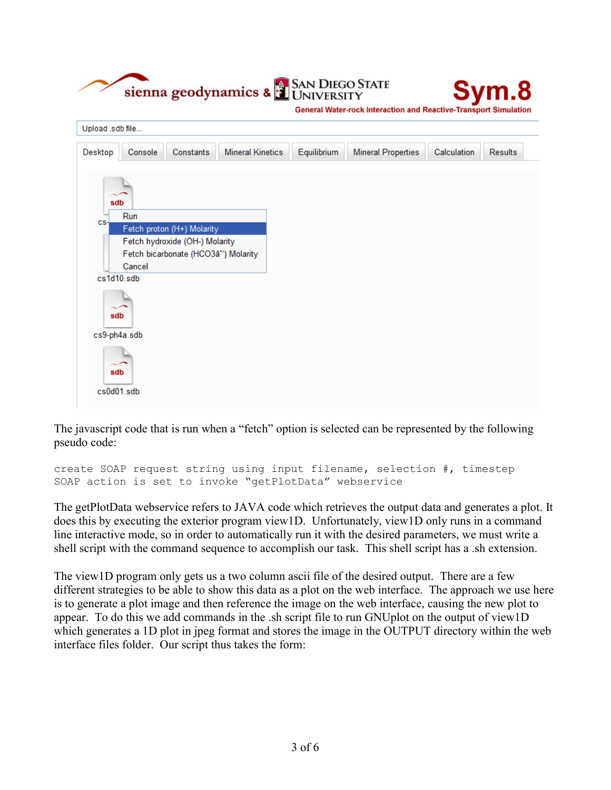| Upload .sdb file |         |                                      |                         |             | <b>General Water-rock Interaction and Reactive-Transport Simulation</b> |             |                |
|------------------|---------|--------------------------------------|-------------------------|-------------|-------------------------------------------------------------------------|-------------|----------------|
| Desktop          | Console | Constants                            | <b>Mineral Kinetics</b> | Equilibrium | <b>Mineral Properties</b>                                               | Calculation | <b>Results</b> |
|                  |         |                                      |                         |             |                                                                         |             |                |
| sdb              |         |                                      |                         |             |                                                                         |             |                |
| CS-              | Run     | Fetch proton (H+) Molarity           |                         |             |                                                                         |             |                |
|                  |         | Fetch hydroxide (OH-) Molarity       |                         |             |                                                                         |             |                |
|                  | Cancel  | Fetch bicarbonate (HCO3â*') Molarity |                         |             |                                                                         |             |                |
| cs1d10.sdb       |         |                                      |                         |             |                                                                         |             |                |
|                  |         |                                      |                         |             |                                                                         |             |                |
| sdb              |         |                                      |                         |             |                                                                         |             |                |
| cs9-ph4a.sdb     |         |                                      |                         |             |                                                                         |             |                |
|                  |         |                                      |                         |             |                                                                         |             |                |
|                  |         |                                      |                         |             |                                                                         |             |                |
| sdb              |         |                                      |                         |             |                                                                         |             |                |

Cur Direction

The javascript code that is run when a "fetch" option is selected can be represented by the following pseudo code:

```
create SOAP request string using input filename, selection #, timestep
SOAP action is set to invoke "getPlotData" webservice
```
The getPlotData webservice refers to JAVA code which retrieves the output data and generates a plot. It does this by executing the exterior program view1D. Unfortunately, view1D only runs in a command line interactive mode, so in order to automatically run it with the desired parameters, we must write a shell script with the command sequence to accomplish our task. This shell script has a .sh extension.

The view1D program only gets us a two column ascii file of the desired output. There are a few different strategies to be able to show this data as a plot on the web interface. The approach we use here is to generate a plot image and then reference the image on the web interface, causing the new plot to appear. To do this we add commands in the .sh script file to run GNUplot on the output of view1D which generates a 1D plot in jpeg format and stores the image in the OUTPUT directory within the web interface files folder. Our script thus takes the form: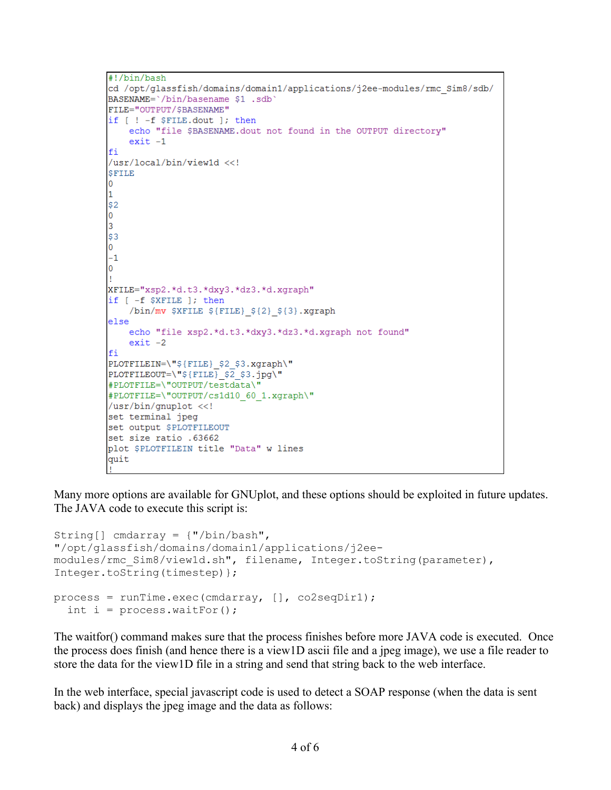```
#!/bin/bash
cd /opt/glassfish/domains/domain1/applications/j2ee-modules/rmc Sim8/sdb/
BASENAME='/bin/basename $1 .sdb'
FILE="OUTPUT/$BASENAME"
if [ ! -f $FILE.dout ]; then
    echo "file $BASENAME.dout not found in the OUTPUT directory"
    exit -1fi
/usr/local/bin/view1d <<!
SFILE
lo.
h.
|520
\vert3
|53O.
-1\overline{0}XFILE="xsp2.*d.t3.*dxy3.*dz3.*d.xgraph"
if [ -f $XFILE ]; then
    /bin/mv $XFILE ${FILE} ${2} ${3}.xgraph
else
    echo "file xsp2.*d.t3.*dxy3.*dz3.*d.xgraph not found"
    exit -2fi
PLOTFILEIN=\"${FILE}_$2_$3.xgraph\"
PLOTFILEOUT=\"${FILE} $2 $3.jpg\"
#PLOTFILE=\"OUTPUT/testdata\'
#PLOTFILE=\"OUTPUT/cs1d10 60 1.xgraph\"
/usr/bin/gnuplot <<!
set terminal jpeg
set output $PLOTFILEOUT
set size ratio .63662
plot $PLOTFILEIN title "Data" w lines
quit
```
Many more options are available for GNUplot, and these options should be exploited in future updates. The JAVA code to execute this script is:

```
String[] cmdarray = {"/bin/bash", 
"/opt/glassfish/domains/domain1/applications/j2ee-
modules/rmc Sim8/view1d.sh", filename, Integer.toString(parameter),
Integer.toString(timestep)};
process = runTime.exec(cmdarray, [], co2seqDir1);
  int i = process.waitFor();
```
The waitfor() command makes sure that the process finishes before more JAVA code is executed. Once the process does finish (and hence there is a view1D ascii file and a jpeg image), we use a file reader to store the data for the view1D file in a string and send that string back to the web interface.

In the web interface, special javascript code is used to detect a SOAP response (when the data is sent back) and displays the jpeg image and the data as follows: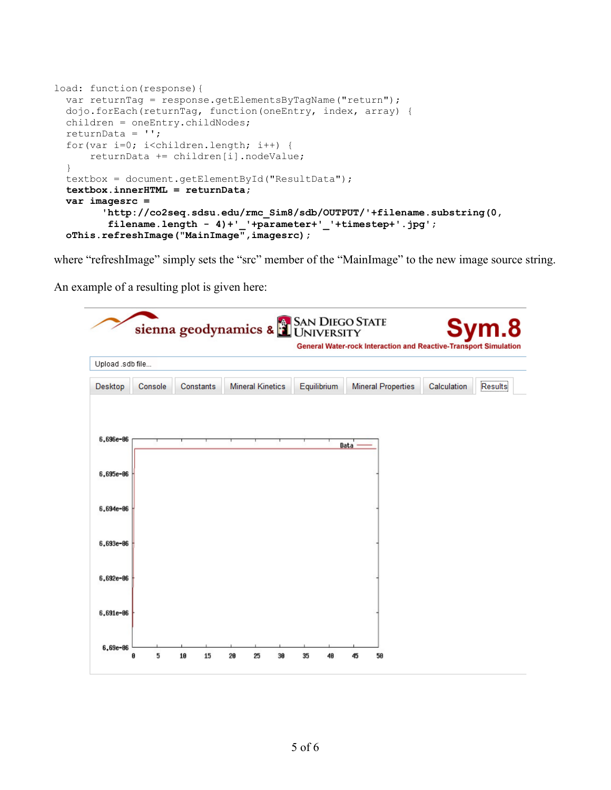```
load: function(response){
   var returnTag = response.getElementsByTagName("return");
   dojo.forEach(returnTag, function(oneEntry, index, array) {
   children = oneEntry.childNodes;
   returnData = '';
   for(var i=0; i<children.length; i++) {
       returnData += children[i].nodeValue; 
   }
   textbox = document.getElementById("ResultData");
   textbox.innerHTML = returnData;
   var imagesrc = 
         'http://co2seq.sdsu.edu/rmc_Sim8/sdb/OUTPUT/'+filename.substring(0, 
          filename.length - 4)+'_'+parameter+'_'+timestep+'.jpg';
  oThis.refreshImage("MainImage",imagesrc);
```
where "refreshImage" simply sets the "src" member of the "MainImage" to the new image source string.

An example of a resulting plot is given here: